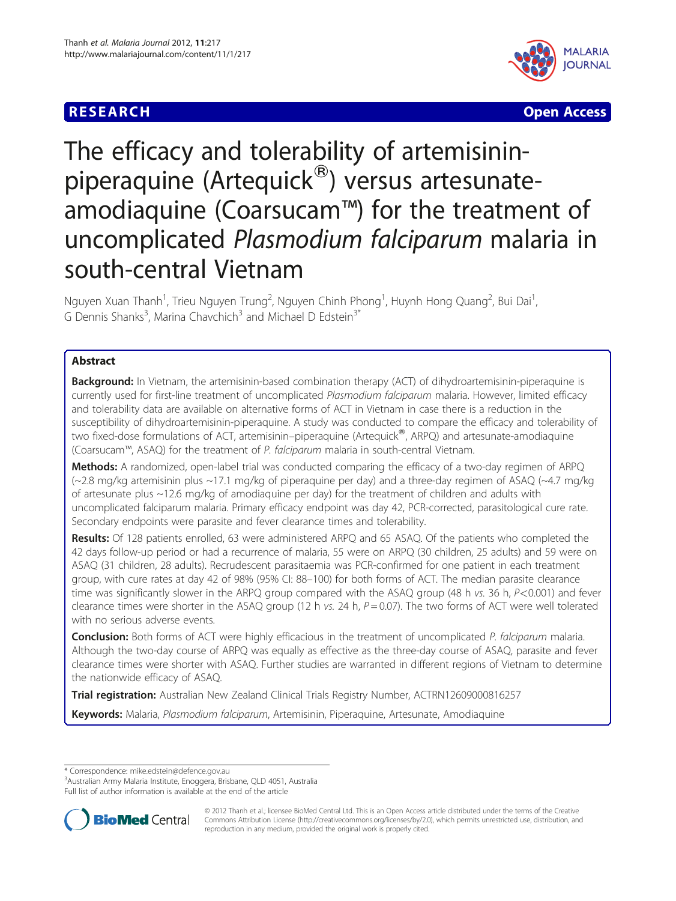



# The efficacy and tolerability of artemisininpiperaquine (Artequick®) versus artesunateamodiaquine (Coarsucam™) for the treatment of uncomplicated Plasmodium falciparum malaria in south-central Vietnam

Nguyen Xuan Thanh<sup>1</sup>, Trieu Nguyen Trung<sup>2</sup>, Nguyen Chinh Phong<sup>1</sup>, Huynh Hong Quang<sup>2</sup>, Bui Dai<sup>1</sup> , G Dennis Shanks<sup>3</sup>, Marina Chavchich<sup>3</sup> and Michael D Edstein<sup>3\*</sup>

# Abstract

**Background:** In Vietnam, the artemisinin-based combination therapy (ACT) of dihydroartemisinin-piperaquine is currently used for first-line treatment of uncomplicated Plasmodium falciparum malaria. However, limited efficacy and tolerability data are available on alternative forms of ACT in Vietnam in case there is a reduction in the susceptibility of dihydroartemisinin-piperaquine. A study was conducted to compare the efficacy and tolerability of two fixed-dose formulations of ACT, artemisinin–piperaquine (Artequick®, ARPQ) and artesunate-amodiaquine (Coarsucam™, ASAQ) for the treatment of P. falciparum malaria in south-central Vietnam.

Methods: A randomized, open-label trial was conducted comparing the efficacy of a two-day regimen of ARPQ (~2.8 mg/kg artemisinin plus ~17.1 mg/kg of piperaquine per day) and a three-day regimen of ASAQ (~4.7 mg/kg of artesunate plus ~12.6 mg/kg of amodiaquine per day) for the treatment of children and adults with uncomplicated falciparum malaria. Primary efficacy endpoint was day 42, PCR-corrected, parasitological cure rate. Secondary endpoints were parasite and fever clearance times and tolerability.

Results: Of 128 patients enrolled, 63 were administered ARPQ and 65 ASAQ. Of the patients who completed the 42 days follow-up period or had a recurrence of malaria, 55 were on ARPQ (30 children, 25 adults) and 59 were on ASAQ (31 children, 28 adults). Recrudescent parasitaemia was PCR-confirmed for one patient in each treatment group, with cure rates at day 42 of 98% (95% CI: 88–100) for both forms of ACT. The median parasite clearance time was significantly slower in the ARPQ group compared with the ASAQ group (48 h vs. 36 h, P<0.001) and fever clearance times were shorter in the ASAQ group (12 h vs. 24 h,  $P = 0.07$ ). The two forms of ACT were well tolerated with no serious adverse events.

Conclusion: Both forms of ACT were highly efficacious in the treatment of uncomplicated P. falciparum malaria. Although the two-day course of ARPQ was equally as effective as the three-day course of ASAQ, parasite and fever clearance times were shorter with ASAQ. Further studies are warranted in different regions of Vietnam to determine the nationwide efficacy of ASAQ.

Trial registration: Australian New Zealand Clinical Trials Registry Number, ACTRN12609000816257

Keywords: Malaria, Plasmodium falciparum, Artemisinin, Piperaquine, Artesunate, Amodiaquine

\* Correspondence: [mike.edstein@defence.gov.au](mailto:mike.edstein@defence.gov.au) <sup>3</sup>

Australian Army Malaria Institute, Enoggera, Brisbane, QLD 4051, Australia Full list of author information is available at the end of the article



© 2012 Thanh et al.; licensee BioMed Central Ltd. This is an Open Access article distributed under the terms of the Creative Commons Attribution License [\(http://creativecommons.org/licenses/by/2.0\)](http://creativecommons.org/licenses/by/2.0), which permits unrestricted use, distribution, and reproduction in any medium, provided the original work is properly cited.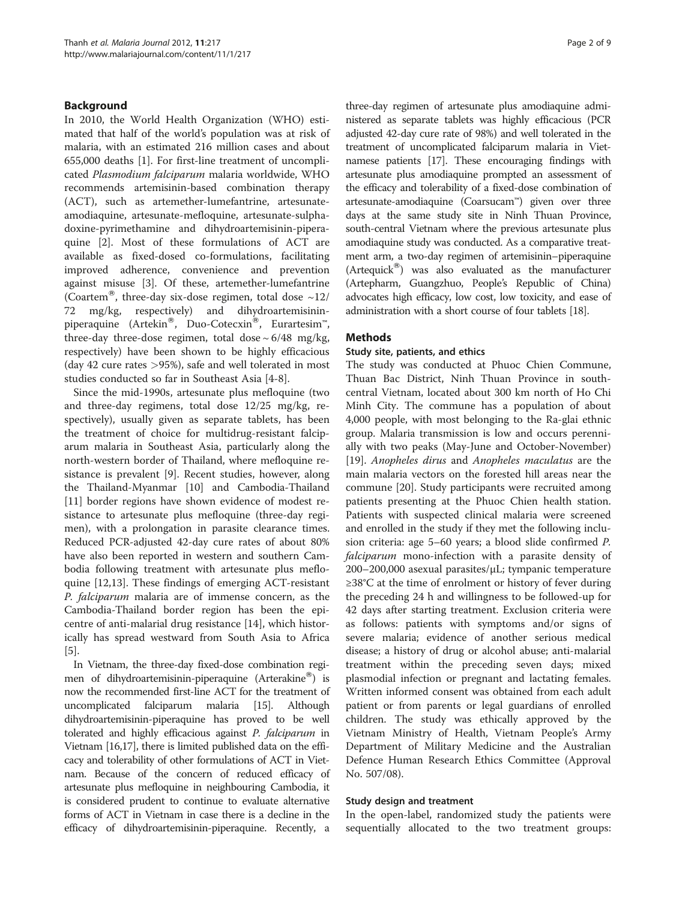# Background

In 2010, the World Health Organization (WHO) estimated that half of the world's population was at risk of malaria, with an estimated 216 million cases and about 655,000 deaths [[1](#page-7-0)]. For first-line treatment of uncomplicated Plasmodium falciparum malaria worldwide, WHO recommends artemisinin-based combination therapy (ACT), such as artemether-lumefantrine, artesunateamodiaquine, artesunate-mefloquine, artesunate-sulphadoxine-pyrimethamine and dihydroartemisinin-piperaquine [[2\]](#page-7-0). Most of these formulations of ACT are available as fixed-dosed co-formulations, facilitating improved adherence, convenience and prevention against misuse [\[3](#page-7-0)]. Of these, artemether-lumefantrine (Coartem®, three-day six-dose regimen, total dose  $\sim$ 12/ 72 mg/kg, respectively) and dihydroartemisininpiperaquine (Artekin<sup>®</sup>, Duo-Cotecxin<sup>®</sup>, Eurartesim<sup>™</sup>, three-day three-dose regimen, total dose  $\sim 6/48$  mg/kg, respectively) have been shown to be highly efficacious (day 42 cure rates >95%), safe and well tolerated in most studies conducted so far in Southeast Asia [[4-8](#page-7-0)].

Since the mid-1990s, artesunate plus mefloquine (two and three-day regimens, total dose 12/25 mg/kg, respectively), usually given as separate tablets, has been the treatment of choice for multidrug-resistant falciparum malaria in Southeast Asia, particularly along the north-western border of Thailand, where mefloquine resistance is prevalent [[9\]](#page-7-0). Recent studies, however, along the Thailand-Myanmar [[10](#page-7-0)] and Cambodia-Thailand [[11\]](#page-8-0) border regions have shown evidence of modest resistance to artesunate plus mefloquine (three-day regimen), with a prolongation in parasite clearance times. Reduced PCR-adjusted 42-day cure rates of about 80% have also been reported in western and southern Cambodia following treatment with artesunate plus mefloquine [\[12,13\]](#page-8-0). These findings of emerging ACT-resistant P. falciparum malaria are of immense concern, as the Cambodia-Thailand border region has been the epicentre of anti-malarial drug resistance [\[14](#page-8-0)], which historically has spread westward from South Asia to Africa [[5\]](#page-7-0).

In Vietnam, the three-day fixed-dose combination regimen of dihydroartemisinin-piperaquine  $(Arterakine^{\circ\circ})$  is now the recommended first-line ACT for the treatment of uncomplicated falciparum malaria [\[15\]](#page-8-0). Although dihydroartemisinin-piperaquine has proved to be well tolerated and highly efficacious against P. falciparum in Vietnam [\[16,17](#page-8-0)], there is limited published data on the efficacy and tolerability of other formulations of ACT in Vietnam. Because of the concern of reduced efficacy of artesunate plus mefloquine in neighbouring Cambodia, it is considered prudent to continue to evaluate alternative forms of ACT in Vietnam in case there is a decline in the efficacy of dihydroartemisinin-piperaquine. Recently, a three-day regimen of artesunate plus amodiaquine administered as separate tablets was highly efficacious (PCR adjusted 42-day cure rate of 98%) and well tolerated in the treatment of uncomplicated falciparum malaria in Vietnamese patients [\[17](#page-8-0)]. These encouraging findings with artesunate plus amodiaquine prompted an assessment of the efficacy and tolerability of a fixed-dose combination of artesunate-amodiaquine (Coarsucam™) given over three days at the same study site in Ninh Thuan Province, south-central Vietnam where the previous artesunate plus amodiaquine study was conducted. As a comparative treatment arm, a two-day regimen of artemisinin–piperaquine  $(Artequick^@)$  was also evaluated as the manufacturer (Artepharm, Guangzhuo, People's Republic of China) advocates high efficacy, low cost, low toxicity, and ease of administration with a short course of four tablets [[18](#page-8-0)].

## **Methods**

## Study site, patients, and ethics

The study was conducted at Phuoc Chien Commune, Thuan Bac District, Ninh Thuan Province in southcentral Vietnam, located about 300 km north of Ho Chi Minh City. The commune has a population of about 4,000 people, with most belonging to the Ra-glai ethnic group. Malaria transmission is low and occurs perennially with two peaks (May-June and October-November) [[19\]](#page-8-0). Anopheles dirus and Anopheles maculatus are the main malaria vectors on the forested hill areas near the commune [\[20\]](#page-8-0). Study participants were recruited among patients presenting at the Phuoc Chien health station. Patients with suspected clinical malaria were screened and enrolled in the study if they met the following inclusion criteria: age 5–60 years; a blood slide confirmed P. falciparum mono-infection with a parasite density of 200–200,000 asexual parasites/μL; tympanic temperature ≥38°C at the time of enrolment or history of fever during the preceding 24 h and willingness to be followed-up for 42 days after starting treatment. Exclusion criteria were as follows: patients with symptoms and/or signs of severe malaria; evidence of another serious medical disease; a history of drug or alcohol abuse; anti-malarial treatment within the preceding seven days; mixed plasmodial infection or pregnant and lactating females. Written informed consent was obtained from each adult patient or from parents or legal guardians of enrolled children. The study was ethically approved by the Vietnam Ministry of Health, Vietnam People's Army Department of Military Medicine and the Australian Defence Human Research Ethics Committee (Approval No. 507/08).

## Study design and treatment

In the open-label, randomized study the patients were sequentially allocated to the two treatment groups: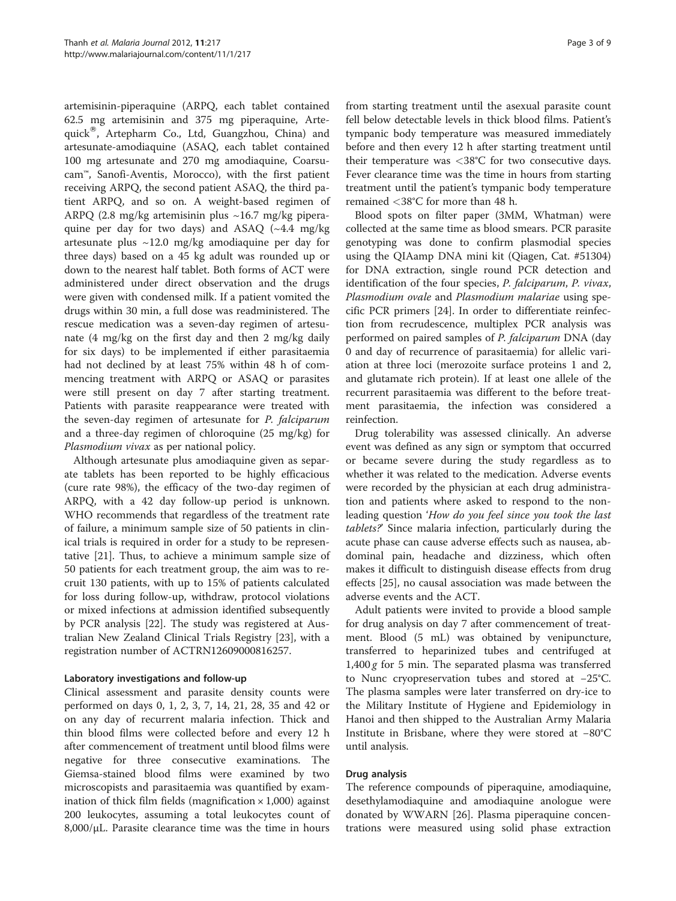artemisinin-piperaquine (ARPQ, each tablet contained 62.5 mg artemisinin and 375 mg piperaquine, Artequick®, Artepharm Co., Ltd, Guangzhou, China) and artesunate-amodiaquine (ASAQ, each tablet contained 100 mg artesunate and 270 mg amodiaquine, Coarsucam™, Sanofi-Aventis, Morocco), with the first patient receiving ARPQ, the second patient ASAQ, the third patient ARPQ, and so on. A weight-based regimen of ARPQ (2.8 mg/kg artemisinin plus ~16.7 mg/kg piperaquine per day for two days) and ASAQ (~4.4 mg/kg artesunate plus  $\sim$ 12.0 mg/kg amodiaquine per day for three days) based on a 45 kg adult was rounded up or down to the nearest half tablet. Both forms of ACT were administered under direct observation and the drugs were given with condensed milk. If a patient vomited the drugs within 30 min, a full dose was readministered. The rescue medication was a seven-day regimen of artesunate (4 mg/kg on the first day and then 2 mg/kg daily for six days) to be implemented if either parasitaemia had not declined by at least 75% within 48 h of commencing treatment with ARPQ or ASAQ or parasites were still present on day 7 after starting treatment. Patients with parasite reappearance were treated with the seven-day regimen of artesunate for P. falciparum and a three-day regimen of chloroquine (25 mg/kg) for Plasmodium vivax as per national policy.

Although artesunate plus amodiaquine given as separate tablets has been reported to be highly efficacious (cure rate 98%), the efficacy of the two-day regimen of ARPQ, with a 42 day follow-up period is unknown. WHO recommends that regardless of the treatment rate of failure, a minimum sample size of 50 patients in clinical trials is required in order for a study to be representative [[21\]](#page-8-0). Thus, to achieve a minimum sample size of 50 patients for each treatment group, the aim was to recruit 130 patients, with up to 15% of patients calculated for loss during follow-up, withdraw, protocol violations or mixed infections at admission identified subsequently by PCR analysis [\[22\]](#page-8-0). The study was registered at Australian New Zealand Clinical Trials Registry [[23\]](#page-8-0), with a registration number of ACTRN12609000816257.

## Laboratory investigations and follow-up

Clinical assessment and parasite density counts were performed on days 0, 1, 2, 3, 7, 14, 21, 28, 35 and 42 or on any day of recurrent malaria infection. Thick and thin blood films were collected before and every 12 h after commencement of treatment until blood films were negative for three consecutive examinations. The Giemsa-stained blood films were examined by two microscopists and parasitaemia was quantified by examination of thick film fields (magnification  $\times$  1,000) against 200 leukocytes, assuming a total leukocytes count of  $8,000/\mu L$ . Parasite clearance time was the time in hours from starting treatment until the asexual parasite count fell below detectable levels in thick blood films. Patient's tympanic body temperature was measured immediately before and then every 12 h after starting treatment until their temperature was  $<38^{\circ}$ C for two consecutive days. Fever clearance time was the time in hours from starting treatment until the patient's tympanic body temperature remained <38°C for more than 48 h.

Blood spots on filter paper (3MM, Whatman) were collected at the same time as blood smears. PCR parasite genotyping was done to confirm plasmodial species using the QIAamp DNA mini kit (Qiagen, Cat. #51304) for DNA extraction, single round PCR detection and identification of the four species, P. falciparum, P. vivax, Plasmodium ovale and Plasmodium malariae using specific PCR primers [[24](#page-8-0)]. In order to differentiate reinfection from recrudescence, multiplex PCR analysis was performed on paired samples of P. falciparum DNA (day 0 and day of recurrence of parasitaemia) for allelic variation at three loci (merozoite surface proteins 1 and 2, and glutamate rich protein). If at least one allele of the recurrent parasitaemia was different to the before treatment parasitaemia, the infection was considered a reinfection.

Drug tolerability was assessed clinically. An adverse event was defined as any sign or symptom that occurred or became severe during the study regardless as to whether it was related to the medication. Adverse events were recorded by the physician at each drug administration and patients where asked to respond to the nonleading question 'How do you feel since you took the last tablets?' Since malaria infection, particularly during the acute phase can cause adverse effects such as nausea, abdominal pain, headache and dizziness, which often makes it difficult to distinguish disease effects from drug effects [\[25\]](#page-8-0), no causal association was made between the adverse events and the ACT.

Adult patients were invited to provide a blood sample for drug analysis on day 7 after commencement of treatment. Blood (5 mL) was obtained by venipuncture, transferred to heparinized tubes and centrifuged at  $1,400 g$  for 5 min. The separated plasma was transferred to Nunc cryopreservation tubes and stored at −25°C. The plasma samples were later transferred on dry-ice to the Military Institute of Hygiene and Epidemiology in Hanoi and then shipped to the Australian Army Malaria Institute in Brisbane, where they were stored at −80°C until analysis.

## Drug analysis

The reference compounds of piperaquine, amodiaquine, desethylamodiaquine and amodiaquine anologue were donated by WWARN [[26\]](#page-8-0). Plasma piperaquine concentrations were measured using solid phase extraction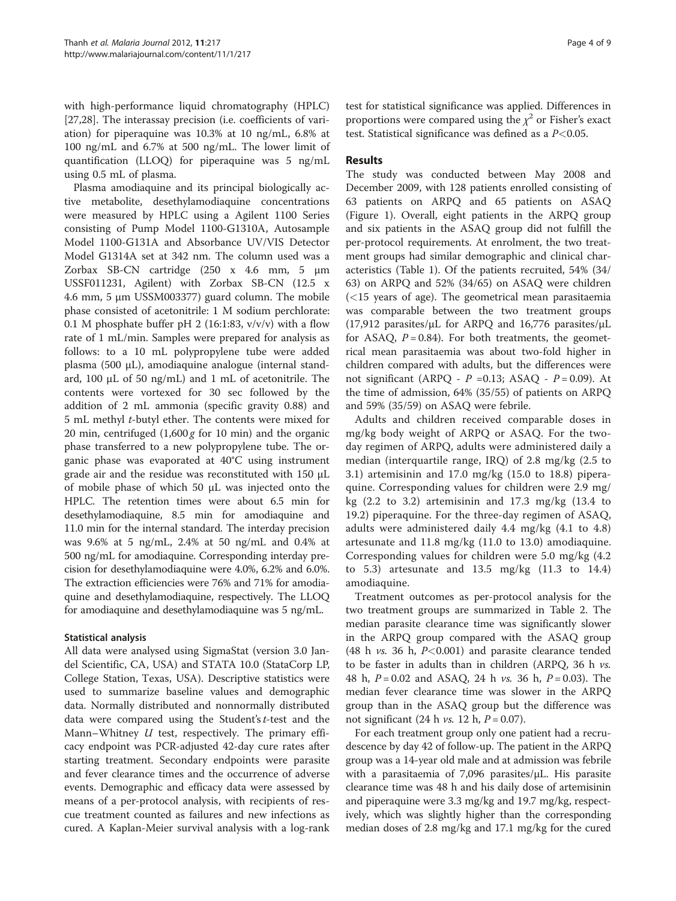with high-performance liquid chromatography (HPLC) [[27,28\]](#page-8-0). The interassay precision (i.e. coefficients of variation) for piperaquine was 10.3% at 10 ng/mL, 6.8% at 100 ng/mL and 6.7% at 500 ng/mL. The lower limit of quantification (LLOQ) for piperaquine was 5 ng/mL using 0.5 mL of plasma.

Plasma amodiaquine and its principal biologically active metabolite, desethylamodiaquine concentrations were measured by HPLC using a Agilent 1100 Series consisting of Pump Model 1100-G1310A, Autosample Model 1100-G131A and Absorbance UV/VIS Detector Model G1314A set at 342 nm. The column used was a Zorbax SB-CN cartridge (250 x 4.6 mm, 5 μm USSF011231, Agilent) with Zorbax SB-CN (12.5 x 4.6 mm, 5 μm USSM003377) guard column. The mobile phase consisted of acetonitrile: 1 M sodium perchlorate: 0.1 M phosphate buffer pH 2 (16:1:83,  $v/v/v$ ) with a flow rate of 1 mL/min. Samples were prepared for analysis as follows: to a 10 mL polypropylene tube were added plasma (500 μL), amodiaquine analogue (internal standard, 100 μL of 50 ng/mL) and 1 mL of acetonitrile. The contents were vortexed for 30 sec followed by the addition of 2 mL ammonia (specific gravity 0.88) and 5 mL methyl t-butyl ether. The contents were mixed for 20 min, centrifuged  $(1,600 g$  for 10 min) and the organic phase transferred to a new polypropylene tube. The organic phase was evaporated at 40°C using instrument grade air and the residue was reconstituted with 150 μL of mobile phase of which 50 μL was injected onto the HPLC. The retention times were about 6.5 min for desethylamodiaquine, 8.5 min for amodiaquine and 11.0 min for the internal standard. The interday precision was 9.6% at 5 ng/mL, 2.4% at 50 ng/mL and 0.4% at 500 ng/mL for amodiaquine. Corresponding interday precision for desethylamodiaquine were 4.0%, 6.2% and 6.0%. The extraction efficiencies were 76% and 71% for amodiaquine and desethylamodiaquine, respectively. The LLOQ for amodiaquine and desethylamodiaquine was 5 ng/mL.

## Statistical analysis

All data were analysed using SigmaStat (version 3.0 Jandel Scientific, CA, USA) and STATA 10.0 (StataCorp LP, College Station, Texas, USA). Descriptive statistics were used to summarize baseline values and demographic data. Normally distributed and nonnormally distributed data were compared using the Student's t-test and the Mann–Whitney  $U$  test, respectively. The primary efficacy endpoint was PCR-adjusted 42-day cure rates after starting treatment. Secondary endpoints were parasite and fever clearance times and the occurrence of adverse events. Demographic and efficacy data were assessed by means of a per-protocol analysis, with recipients of rescue treatment counted as failures and new infections as cured. A Kaplan-Meier survival analysis with a log-rank

test for statistical significance was applied. Differences in proportions were compared using the  $\chi^2$  or Fisher's exact test. Statistical significance was defined as a  $P<0.05$ .

# Results

The study was conducted between May 2008 and December 2009, with 128 patients enrolled consisting of 63 patients on ARPQ and 65 patients on ASAQ (Figure [1\)](#page-4-0). Overall, eight patients in the ARPQ group and six patients in the ASAQ group did not fulfill the per-protocol requirements. At enrolment, the two treatment groups had similar demographic and clinical characteristics (Table [1\)](#page-5-0). Of the patients recruited, 54% (34/ 63) on ARPQ and 52% (34/65) on ASAQ were children  $\left($  <15 years of age). The geometrical mean parasitaemia was comparable between the two treatment groups (17,912 parasites/μL for ARPQ and 16,776 parasites/μL for ASAQ,  $P = 0.84$ ). For both treatments, the geometrical mean parasitaemia was about two-fold higher in children compared with adults, but the differences were not significant (ARPQ -  $P = 0.13$ ; ASAQ -  $P = 0.09$ ). At the time of admission, 64% (35/55) of patients on ARPQ and 59% (35/59) on ASAQ were febrile.

Adults and children received comparable doses in mg/kg body weight of ARPQ or ASAQ. For the twoday regimen of ARPQ, adults were administered daily a median (interquartile range, IRQ) of 2.8 mg/kg (2.5 to 3.1) artemisinin and 17.0 mg/kg (15.0 to 18.8) piperaquine. Corresponding values for children were 2.9 mg/ kg  $(2.2 \text{ to } 3.2)$  artemisinin and  $17.3 \text{ mg/kg}$   $(13.4 \text{ to } 3.2)$ 19.2) piperaquine. For the three-day regimen of ASAQ, adults were administered daily 4.4 mg/kg (4.1 to 4.8) artesunate and 11.8 mg/kg (11.0 to 13.0) amodiaquine. Corresponding values for children were 5.0 mg/kg (4.2 to 5.3) artesunate and 13.5 mg/kg (11.3 to 14.4) amodiaquine.

Treatment outcomes as per-protocol analysis for the two treatment groups are summarized in Table [2.](#page-5-0) The median parasite clearance time was significantly slower in the ARPQ group compared with the ASAQ group (48 h  $vs.$  36 h,  $P<0.001$ ) and parasite clearance tended to be faster in adults than in children (ARPQ, 36 h  $vs.$ 48 h,  $P = 0.02$  and ASAQ, 24 h *vs.* 36 h,  $P = 0.03$ ). The median fever clearance time was slower in the ARPQ group than in the ASAQ group but the difference was not significant (24 h *vs.* 12 h,  $P = 0.07$ ).

For each treatment group only one patient had a recrudescence by day 42 of follow-up. The patient in the ARPQ group was a 14-year old male and at admission was febrile with a parasitaemia of 7,096 parasites/μL. His parasite clearance time was 48 h and his daily dose of artemisinin and piperaquine were 3.3 mg/kg and 19.7 mg/kg, respectively, which was slightly higher than the corresponding median doses of 2.8 mg/kg and 17.1 mg/kg for the cured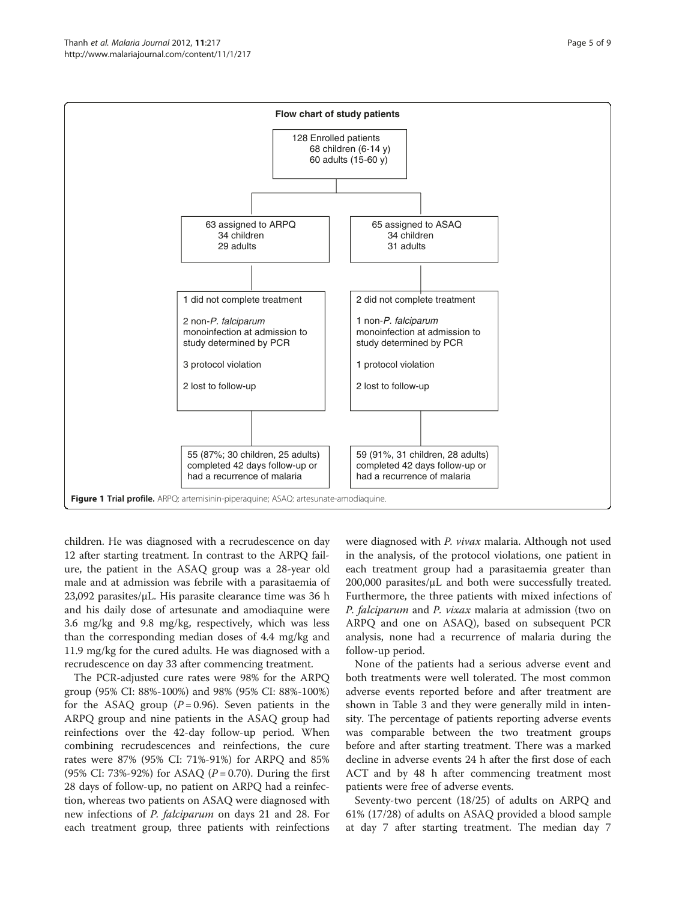<span id="page-4-0"></span>

children. He was diagnosed with a recrudescence on day 12 after starting treatment. In contrast to the ARPQ failure, the patient in the ASAQ group was a 28-year old male and at admission was febrile with a parasitaemia of 23,092 parasites/μL. His parasite clearance time was  $36 h$ and his daily dose of artesunate and amodiaquine were 3.6 mg/kg and 9.8 mg/kg, respectively, which was less than the corresponding median doses of 4.4 mg/kg and 11.9 mg/kg for the cured adults. He was diagnosed with a recrudescence on day 33 after commencing treatment.

The PCR-adjusted cure rates were 98% for the ARPQ group (95% CI: 88%-100%) and 98% (95% CI: 88%-100%) for the ASAQ group  $(P=0.96)$ . Seven patients in the ARPQ group and nine patients in the ASAQ group had reinfections over the 42-day follow-up period. When combining recrudescences and reinfections, the cure rates were 87% (95% CI: 71%-91%) for ARPQ and 85% (95% CI: 73%-92%) for ASAQ ( $P = 0.70$ ). During the first 28 days of follow-up, no patient on ARPQ had a reinfection, whereas two patients on ASAQ were diagnosed with new infections of P. falciparum on days 21 and 28. For each treatment group, three patients with reinfections

were diagnosed with P. vivax malaria. Although not used in the analysis, of the protocol violations, one patient in each treatment group had a parasitaemia greater than  $200,000$  parasites/ $\mu$ L and both were successfully treated. Furthermore, the three patients with mixed infections of P. falciparum and P. vixax malaria at admission (two on ARPQ and one on ASAQ), based on subsequent PCR analysis, none had a recurrence of malaria during the follow-up period.

None of the patients had a serious adverse event and both treatments were well tolerated. The most common adverse events reported before and after treatment are shown in Table [3](#page-6-0) and they were generally mild in intensity. The percentage of patients reporting adverse events was comparable between the two treatment groups before and after starting treatment. There was a marked decline in adverse events 24 h after the first dose of each ACT and by 48 h after commencing treatment most patients were free of adverse events.

Seventy-two percent (18/25) of adults on ARPQ and 61% (17/28) of adults on ASAQ provided a blood sample at day 7 after starting treatment. The median day 7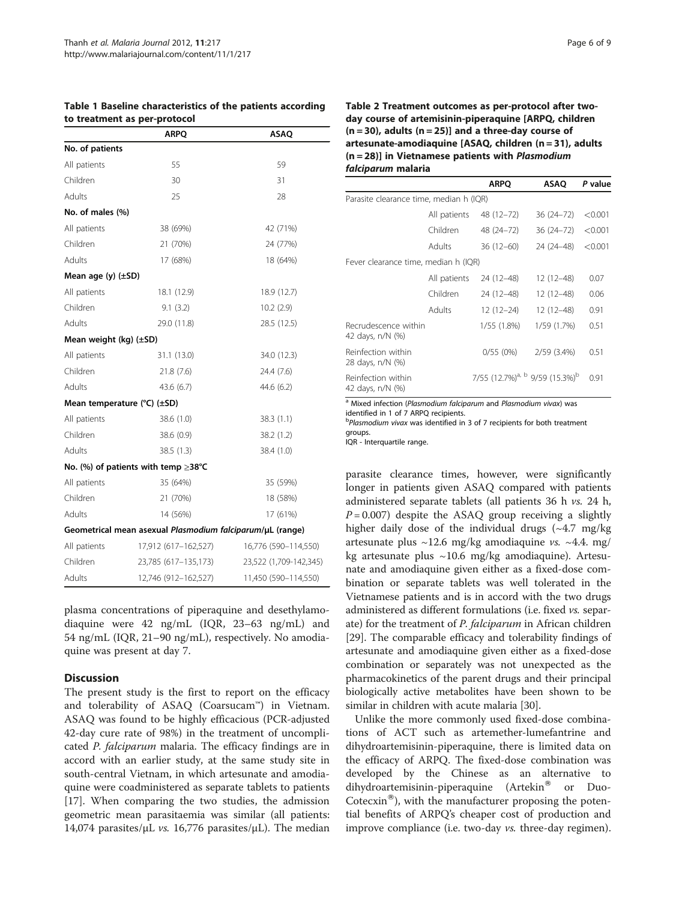| io ricamient as per protocor               |                                                           |                        |  |  |  |  |  |
|--------------------------------------------|-----------------------------------------------------------|------------------------|--|--|--|--|--|
|                                            | <b>ARPQ</b>                                               | <b>ASAQ</b>            |  |  |  |  |  |
| No. of patients                            |                                                           |                        |  |  |  |  |  |
| All patients                               | 55                                                        | 59                     |  |  |  |  |  |
| Children                                   | 30                                                        | 31                     |  |  |  |  |  |
| Adults                                     | 25                                                        | 28                     |  |  |  |  |  |
| No. of males (%)                           |                                                           |                        |  |  |  |  |  |
| All patients                               | 38 (69%)                                                  | 42 (71%)               |  |  |  |  |  |
| Children                                   | 21 (70%)                                                  | 24 (77%)               |  |  |  |  |  |
| Adults                                     | 17 (68%)                                                  | 18 (64%)               |  |  |  |  |  |
| Mean age $(y)$ $(\pm SD)$                  |                                                           |                        |  |  |  |  |  |
| All patients                               | 18.1 (12.9)                                               | 18.9 (12.7)            |  |  |  |  |  |
| Children                                   | 9.1(3.2)                                                  | 10.2(2.9)              |  |  |  |  |  |
| Adults                                     | 29.0 (11.8)                                               | 28.5 (12.5)            |  |  |  |  |  |
| Mean weight (kg) (±SD)                     |                                                           |                        |  |  |  |  |  |
| All patients                               | 31.1 (13.0)                                               | 34.0 (12.3)            |  |  |  |  |  |
| Children                                   | 21.8 (7.6)                                                | 24.4 (7.6)             |  |  |  |  |  |
| Adults                                     | 43.6 (6.7)                                                | 44.6 (6.2)             |  |  |  |  |  |
| Mean temperature $(^{\circ}C)$ ( $\pm$ SD) |                                                           |                        |  |  |  |  |  |
| All patients                               | 38.6 (1.0)                                                | 38.3(1.1)              |  |  |  |  |  |
| Children                                   | 38.6 (0.9)                                                | 38.2 (1.2)             |  |  |  |  |  |
| Adults                                     | 38.5 (1.3)                                                | 38.4 (1.0)             |  |  |  |  |  |
|                                            | No. (%) of patients with temp $\geq$ 38°C                 |                        |  |  |  |  |  |
| All patients                               | 35 (64%)                                                  | 35 (59%)               |  |  |  |  |  |
| Children                                   | 21 (70%)                                                  | 18 (58%)               |  |  |  |  |  |
| Adults                                     | 14 (56%)                                                  | 17 (61%)               |  |  |  |  |  |
|                                            | Geometrical mean asexual Plasmodium falciparum/µL (range) |                        |  |  |  |  |  |
| All patients                               | 17,912 (617-162,527)                                      | 16,776 (590-114,550)   |  |  |  |  |  |
| Children                                   | 23,785 (617–135,173)                                      | 23,522 (1,709-142,345) |  |  |  |  |  |
| Adults                                     | 12,746 (912-162,527)                                      | 11,450 (590-114,550)   |  |  |  |  |  |

## <span id="page-5-0"></span>Table 1 Baseline characteristics of the patients according to treatment as ner-protocol

plasma concentrations of piperaquine and desethylamodiaquine were 42 ng/mL (IQR, 23–63 ng/mL) and 54 ng/mL (IQR, 21–90 ng/mL), respectively. No amodiaquine was present at day 7.

## **Discussion**

The present study is the first to report on the efficacy and tolerability of ASAQ (Coarsucam™) in Vietnam. ASAQ was found to be highly efficacious (PCR-adjusted 42-day cure rate of 98%) in the treatment of uncomplicated P. falciparum malaria. The efficacy findings are in accord with an earlier study, at the same study site in south-central Vietnam, in which artesunate and amodiaquine were coadministered as separate tablets to patients [[17\]](#page-8-0). When comparing the two studies, the admission geometric mean parasitaemia was similar (all patients: 14,074 parasites/ $\mu$ L *vs.* 16,776 parasites/ $\mu$ L). The median

|                                          |              | <b>ARPO</b>                                            | ASAO          | P value |
|------------------------------------------|--------------|--------------------------------------------------------|---------------|---------|
| Parasite clearance time, median h (IQR)  |              |                                                        |               |         |
|                                          | All patients | 48 (12-72)                                             | $36(24 - 72)$ | < 0.001 |
|                                          | Children     | 48 (24 - 72)                                           | $36(24 - 72)$ | < 0.001 |
|                                          | Adults       | $36(12-60)$                                            | 24 (24-48)    | < 0.001 |
| Fever clearance time, median h (IQR)     |              |                                                        |               |         |
|                                          | All patients | 24 (12-48)                                             | $12(12-48)$   | 0.07    |
|                                          | Children     | 24 (12-48)                                             | $12(12-48)$   | 0.06    |
|                                          | Adults       | $12(12-24)$                                            | $12(12-48)$   | 0.91    |
| Recrudescence within<br>42 days, n/N (%) |              | 1/55(1.8%)                                             | 1/59 (1.7%)   | 0.51    |
| Reinfection within<br>28 days, n/N (%)   |              | 0/55(0%)                                               | 2/59 (3.4%)   | 0.51    |
| Reinfection within<br>42 days, n/N (%)   |              | 7/55 (12.7%) <sup>a, b</sup> 9/59 (15.3%) <sup>b</sup> |               | 0.91    |

<sup>a</sup> Mixed infection (Plasmodium falciparum and Plasmodium vivax) was identified in 1 of 7 ARPQ recipients.

<sup>b</sup>Plasmodium vivax was identified in 3 of 7 recipients for both treatment groups.

IOR - Interquartile range

parasite clearance times, however, were significantly longer in patients given ASAQ compared with patients administered separate tablets (all patients 36 h vs. 24 h,  $P = 0.007$ ) despite the ASAQ group receiving a slightly higher daily dose of the individual drugs  $(-4.7 \text{ mg/kg})$ artesunate plus  $\sim$ 12.6 mg/kg amodiaquine vs.  $\sim$ 4.4. mg/ kg artesunate plus ~10.6 mg/kg amodiaquine). Artesunate and amodiaquine given either as a fixed-dose combination or separate tablets was well tolerated in the Vietnamese patients and is in accord with the two drugs administered as different formulations (i.e. fixed vs. separate) for the treatment of P. falciparum in African children [[29\]](#page-8-0). The comparable efficacy and tolerability findings of artesunate and amodiaquine given either as a fixed-dose combination or separately was not unexpected as the pharmacokinetics of the parent drugs and their principal biologically active metabolites have been shown to be similar in children with acute malaria [[30](#page-8-0)].

Unlike the more commonly used fixed-dose combinations of ACT such as artemether-lumefantrine and dihydroartemisinin-piperaquine, there is limited data on the efficacy of ARPQ. The fixed-dose combination was developed by the Chinese as an alternative to dihydroartemisinin-piperaquine (Artekin<sup>®</sup> or Duo-Cotecxin<sup>®</sup>), with the manufacturer proposing the potential benefits of ARPQ's cheaper cost of production and improve compliance (i.e. two-day vs. three-day regimen).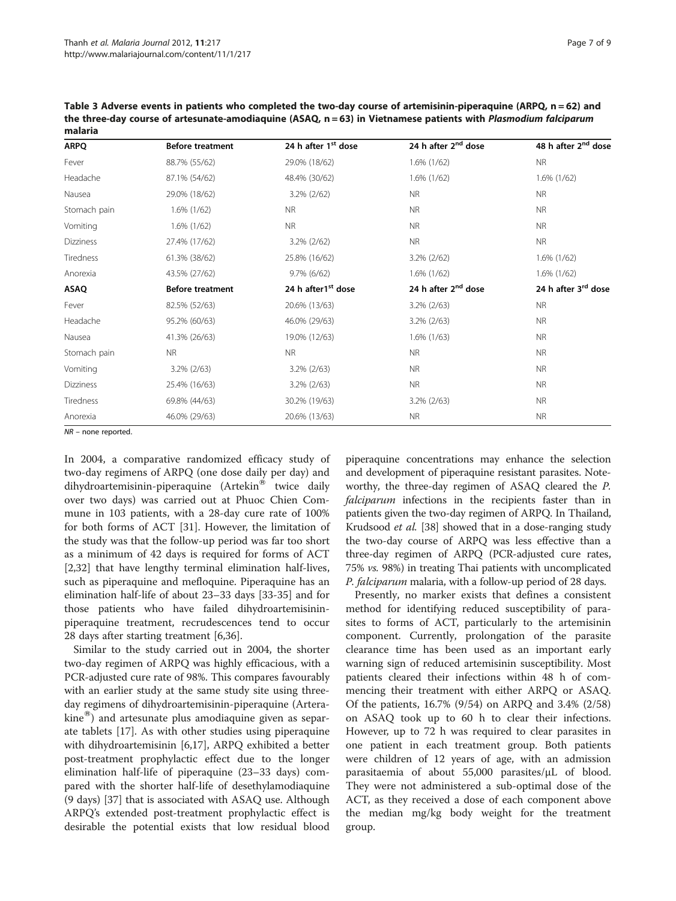<span id="page-6-0"></span>Table 3 Adverse events in patients who completed the two-day course of artemisinin-piperaquine (ARPQ, n = 62) and the three-day course of artesunate-amodiaquine (ASAQ, n = 63) in Vietnamese patients with Plasmodium falciparum malaria

| <b>ARPQ</b>  | <b>Before treatment</b> | 24 h after 1 <sup>st</sup> dose | 24 h after 2 <sup>nd</sup> dose | 48 h after 2 <sup>nd</sup> dose |
|--------------|-------------------------|---------------------------------|---------------------------------|---------------------------------|
| Fever        | 88.7% (55/62)           | 29.0% (18/62)                   | $1.6\%$ (1/62)                  | <b>NR</b>                       |
| Headache     | 87.1% (54/62)           | 48.4% (30/62)                   | $1.6\%$ (1/62)                  | $1.6\%$ (1/62)                  |
| Nausea       | 29.0% (18/62)           | 3.2% (2/62)                     | <b>NR</b>                       | <b>NR</b>                       |
| Stomach pain | $1.6\%$ (1/62)          | <b>NR</b>                       | <b>NR</b>                       | <b>NR</b>                       |
| Vomiting     | 1.6% (1/62)             | <b>NR</b>                       | <b>NR</b>                       | <b>NR</b>                       |
| Dizziness    | 27.4% (17/62)           | 3.2% (2/62)                     | <b>NR</b>                       | <b>NR</b>                       |
| Tiredness    | 61.3% (38/62)           | 25.8% (16/62)                   | 3.2% (2/62)                     | 1.6% (1/62)                     |
| Anorexia     | 43.5% (27/62)           | $9.7\%$ (6/62)                  | $1.6\%$ (1/62)                  | $1.6\%$ (1/62)                  |
| <b>ASAQ</b>  | <b>Before treatment</b> | 24 h after1 <sup>st</sup> dose  | 24 h after 2 <sup>nd</sup> dose | 24 h after 3 <sup>rd</sup> dose |
| Fever        | 82.5% (52/63)           | 20.6% (13/63)                   | $3.2\%$ ( $2/63$ )              | <b>NR</b>                       |
| Headache     | 95.2% (60/63)           | 46.0% (29/63)                   | $3.2\%$ ( $2/63$ )              | <b>NR</b>                       |
| Nausea       | 41.3% (26/63)           | 19.0% (12/63)                   | $1.6\%$ (1/63)                  | <b>NR</b>                       |
| Stomach pain | <b>NR</b>               | NR.                             | <b>NR</b>                       | <b>NR</b>                       |
| Vomiting     | $3.2\% (2/63)$          | 3.2% (2/63)                     | <b>NR</b>                       | <b>NR</b>                       |
| Dizziness    | 25.4% (16/63)           | $3.2\% (2/63)$                  | <b>NR</b>                       | <b>NR</b>                       |
| Tiredness    | 69.8% (44/63)           | 30.2% (19/63)                   | $3.2\% (2/63)$                  | <b>NR</b>                       |
| Anorexia     | 46.0% (29/63)           | 20.6% (13/63)                   | <b>NR</b>                       | <b>NR</b>                       |

NR – none reported.

In 2004, a comparative randomized efficacy study of two-day regimens of ARPQ (one dose daily per day) and  $d$ ihydroartemisinin-piperaquine (Artekin<sup>®</sup> twice daily over two days) was carried out at Phuoc Chien Commune in 103 patients, with a 28-day cure rate of 100% for both forms of ACT [\[31](#page-8-0)]. However, the limitation of the study was that the follow-up period was far too short as a minimum of 42 days is required for forms of ACT [[2,](#page-7-0)[32\]](#page-8-0) that have lengthy terminal elimination half-lives, such as piperaquine and mefloquine. Piperaquine has an elimination half-life of about 23–33 days [\[33-35](#page-8-0)] and for those patients who have failed dihydroartemisininpiperaquine treatment, recrudescences tend to occur 28 days after starting treatment [[6](#page-7-0),[36](#page-8-0)].

Similar to the study carried out in 2004, the shorter two-day regimen of ARPQ was highly efficacious, with a PCR-adjusted cure rate of 98%. This compares favourably with an earlier study at the same study site using threeday regimens of dihydroartemisinin-piperaquine (Artera $kine^{\omega}$ ) and artesunate plus amodiaquine given as separate tablets [[17](#page-8-0)]. As with other studies using piperaquine with dihydroartemisinin [\[6](#page-7-0)[,17](#page-8-0)], ARPQ exhibited a better post-treatment prophylactic effect due to the longer elimination half-life of piperaquine (23–33 days) compared with the shorter half-life of desethylamodiaquine (9 days) [[37\]](#page-8-0) that is associated with ASAQ use. Although ARPQ's extended post-treatment prophylactic effect is desirable the potential exists that low residual blood

piperaquine concentrations may enhance the selection and development of piperaquine resistant parasites. Noteworthy, the three-day regimen of ASAQ cleared the P. falciparum infections in the recipients faster than in patients given the two-day regimen of ARPQ. In Thailand, Krudsood et al. [\[38\]](#page-8-0) showed that in a dose-ranging study the two-day course of ARPQ was less effective than a three-day regimen of ARPQ (PCR-adjusted cure rates, 75% vs. 98%) in treating Thai patients with uncomplicated P. falciparum malaria, with a follow-up period of 28 days.

Presently, no marker exists that defines a consistent method for identifying reduced susceptibility of parasites to forms of ACT, particularly to the artemisinin component. Currently, prolongation of the parasite clearance time has been used as an important early warning sign of reduced artemisinin susceptibility. Most patients cleared their infections within 48 h of commencing their treatment with either ARPQ or ASAQ. Of the patients, 16.7% (9/54) on ARPQ and 3.4% (2/58) on ASAQ took up to 60 h to clear their infections. However, up to 72 h was required to clear parasites in one patient in each treatment group. Both patients were children of 12 years of age, with an admission parasitaemia of about 55,000 parasites/μL of blood. They were not administered a sub-optimal dose of the ACT, as they received a dose of each component above the median mg/kg body weight for the treatment group.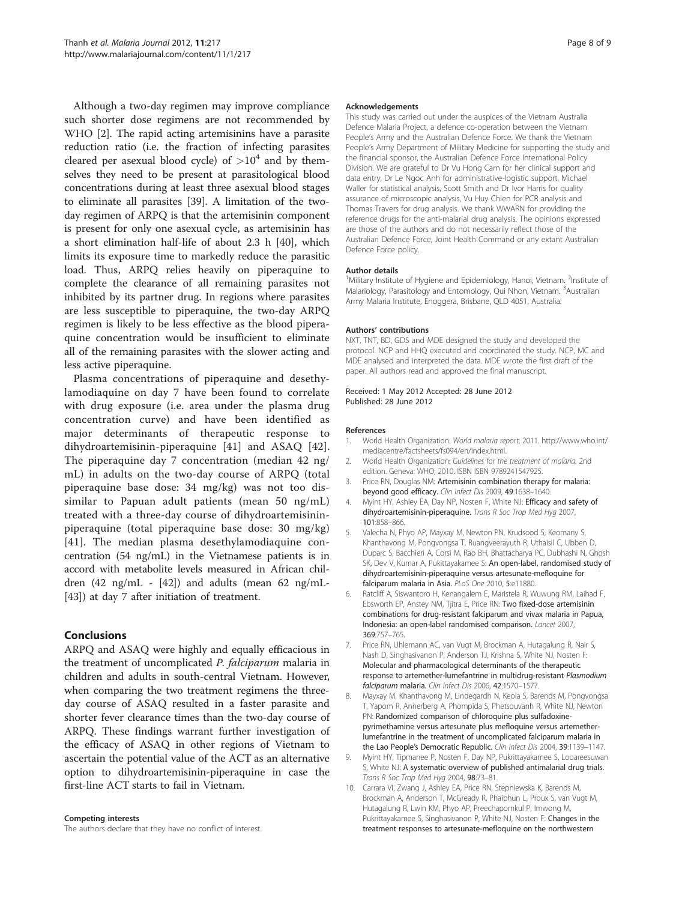<span id="page-7-0"></span>Although a two-day regimen may improve compliance such shorter dose regimens are not recommended by WHO [2]. The rapid acting artemisinins have a parasite reduction ratio (i.e. the fraction of infecting parasites cleared per asexual blood cycle) of  $>10^4$  and by themselves they need to be present at parasitological blood concentrations during at least three asexual blood stages to eliminate all parasites [[39\]](#page-8-0). A limitation of the twoday regimen of ARPQ is that the artemisinin component is present for only one asexual cycle, as artemisinin has a short elimination half-life of about 2.3 h [[40](#page-8-0)], which limits its exposure time to markedly reduce the parasitic load. Thus, ARPQ relies heavily on piperaquine to complete the clearance of all remaining parasites not inhibited by its partner drug. In regions where parasites are less susceptible to piperaquine, the two-day ARPQ regimen is likely to be less effective as the blood piperaquine concentration would be insufficient to eliminate all of the remaining parasites with the slower acting and less active piperaquine.

Plasma concentrations of piperaquine and desethylamodiaquine on day 7 have been found to correlate with drug exposure (i.e. area under the plasma drug concentration curve) and have been identified as major determinants of therapeutic response to dihydroartemisinin-piperaquine [[41\]](#page-8-0) and ASAQ [[42](#page-8-0)]. The piperaquine day 7 concentration (median 42 ng/ mL) in adults on the two-day course of ARPQ (total piperaquine base dose: 34 mg/kg) was not too dissimilar to Papuan adult patients (mean 50 ng/mL) treated with a three-day course of dihydroartemisininpiperaquine (total piperaquine base dose: 30 mg/kg) [[41](#page-8-0)]. The median plasma desethylamodiaquine concentration (54 ng/mL) in the Vietnamese patients is in accord with metabolite levels measured in African children  $(42 \text{ ng/mL} - [42])$  $(42 \text{ ng/mL} - [42])$  $(42 \text{ ng/mL} - [42])$  and adults (mean 62 ng/mL-[[43](#page-8-0)]) at day 7 after initiation of treatment.

## **Conclusions**

ARPQ and ASAQ were highly and equally efficacious in the treatment of uncomplicated P. falciparum malaria in children and adults in south-central Vietnam. However, when comparing the two treatment regimens the threeday course of ASAQ resulted in a faster parasite and shorter fever clearance times than the two-day course of ARPQ. These findings warrant further investigation of the efficacy of ASAQ in other regions of Vietnam to ascertain the potential value of the ACT as an alternative option to dihydroartemisinin-piperaquine in case the first-line ACT starts to fail in Vietnam.

#### Competing interests

The authors declare that they have no conflict of interest.

#### Acknowledgements

This study was carried out under the auspices of the Vietnam Australia Defence Malaria Project, a defence co-operation between the Vietnam People's Army and the Australian Defence Force. We thank the Vietnam People's Army Department of Military Medicine for supporting the study and the financial sponsor, the Australian Defence Force International Policy Division. We are grateful to Dr Vu Hong Cam for her clinical support and data entry, Dr Le Ngoc Anh for administrative-logistic support, Michael Waller for statistical analysis, Scott Smith and Dr Ivor Harris for quality assurance of microscopic analysis, Vu Huy Chien for PCR analysis and Thomas Travers for drug analysis. We thank WWARN for providing the reference drugs for the anti-malarial drug analysis. The opinions expressed are those of the authors and do not necessarily reflect those of the Australian Defence Force, Joint Health Command or any extant Australian Defence Force policy.

#### Author details

<sup>1</sup>Military Institute of Hygiene and Epidemiology, Hanoi, Vietnam. <sup>2</sup>Institute of Malariology, Parasitology and Entomology, Qui Nhon, Vietnam. <sup>3</sup>Australian Army Malaria Institute, Enoggera, Brisbane, QLD 4051, Australia.

#### Authors' contributions

NXT, TNT, BD, GDS and MDE designed the study and developed the protocol. NCP and HHQ executed and coordinated the study. NCP, MC and MDE analysed and interpreted the data. MDE wrote the first draft of the paper. All authors read and approved the final manuscript.

#### Received: 1 May 2012 Accepted: 28 June 2012 Published: 28 June 2012

#### References

- 1. World Health Organization: World malaria report; 2011. http://www.who.int/ mediacentre/factsheets/fs094/en/index.html.
- 2. World Health Organization: Guidelines for the treatment of malaria. 2nd edition. Geneva: WHO; 2010. ISBN ISBN 9789241547925.
- 3. Price RN, Douglas NM: Artemisinin combination therapy for malaria: beyond good efficacy. Clin Infect Dis 2009, 49:1638–1640.
- 4. Myint HY, Ashley EA, Day NP, Nosten F, White NJ: Efficacy and safety of dihydroartemisinin-piperaquine. Trans R Soc Trop Med Hyg 2007, 101:858–866.
- 5. Valecha N, Phyo AP, Mayxay M, Newton PN, Krudsood S, Keomany S, Khanthavong M, Pongvongsa T, Ruangveerayuth R, Uthaisil C, Ubben D, Duparc S, Bacchieri A, Corsi M, Rao BH, Bhattacharya PC, Dubhashi N, Ghosh SK, Dev V, Kumar A, Pukittayakamee S: An open-label, randomised study of dihydroartemisinin-piperaquine versus artesunate-mefloquine for falciparum malaria in Asia. PLoS One 2010, 5:e11880.
- 6. Ratcliff A, Siswantoro H, Kenangalem E, Maristela R, Wuwung RM, Laihad F, Ebsworth EP, Anstey NM, Tjitra E, Price RN: Two fixed-dose artemisinin combinations for drug-resistant falciparum and vivax malaria in Papua, Indonesia: an open-label randomised comparison. Lancet 2007, 369:757–765.
- 7. Price RN, Uhlemann AC, van Vugt M, Brockman A, Hutagalung R, Nair S, Nash D, Singhasivanon P, Anderson TJ, Krishna S, White NJ, Nosten F: Molecular and pharmacological determinants of the therapeutic response to artemether-lumefantrine in multidrug-resistant Plasmodium falciparum malaria. Clin Infect Dis 2006, 42:1570–1577.
- 8. Mayxay M, Khanthavong M, Lindegardh N, Keola S, Barends M, Pongvongsa T, Yapom R, Annerberg A, Phompida S, Phetsouvanh R, White NJ, Newton PN: Randomized comparison of chloroquine plus sulfadoxinepyrimethamine versus artesunate plus mefloquine versus artemetherlumefantrine in the treatment of uncomplicated falciparum malaria in the Lao People's Democratic Republic. Clin Infect Dis 2004, 39:1139-1147.
- 9. Myint HY, Tipmanee P, Nosten F, Day NP, Pukrittayakamee S, Looareesuwan S, White NJ: A systematic overview of published antimalarial drug trials. Trans R Soc Trop Med Hyg 2004, 98:73–81.
- 10. Carrara VI, Zwang J, Ashley EA, Price RN, Stepniewska K, Barends M, Brockman A, Anderson T, McGready R, Phaiphun L, Proux S, van Vugt M, Hutagalung R, Lwin KM, Phyo AP, Preechapornkul P, Imwong M, Pukrittayakamee S, Singhasivanon P, White NJ, Nosten F: Changes in the treatment responses to artesunate-mefloquine on the northwestern